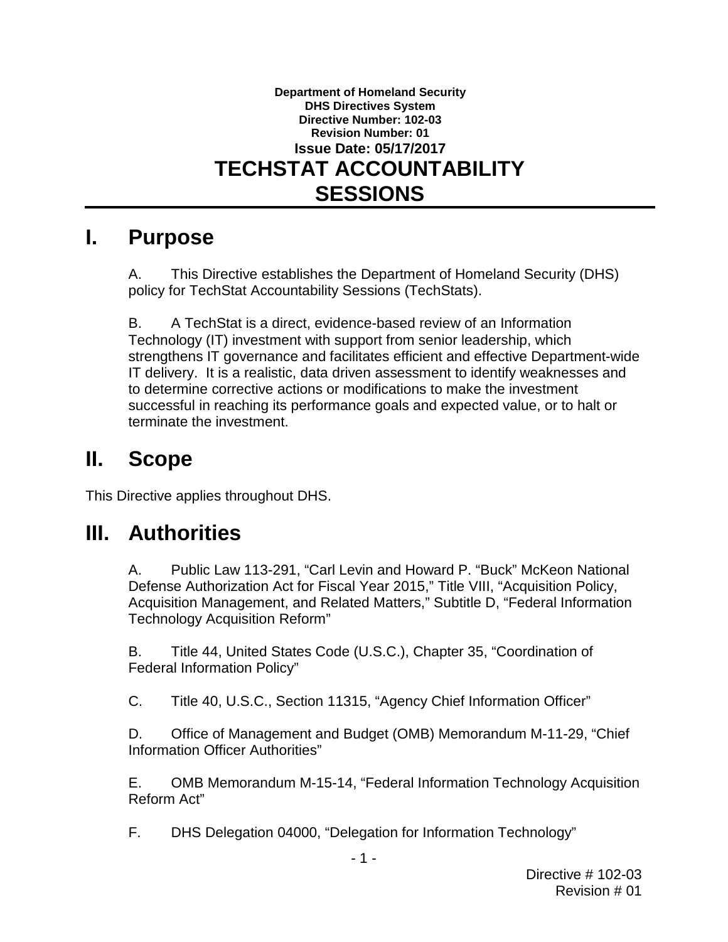#### **Department of Homeland Security DHS Directives System Directive Number: 102-03 Revision Number: 01 Issue Date: 05/17/2017 TECHSTAT ACCOUNTABILITY SESSIONS**

## **I. Purpose**

A. This Directive establishes the Department of Homeland Security (DHS) policy for TechStat Accountability Sessions (TechStats).

B. A TechStat is a direct, evidence-based review of an Information Technology (IT) investment with support from senior leadership, which strengthens IT governance and facilitates efficient and effective Department-wide IT delivery. It is a realistic, data driven assessment to identify weaknesses and to determine corrective actions or modifications to make the investment successful in reaching its performance goals and expected value, or to halt or terminate the investment.

# **II. Scope**

This Directive applies throughout DHS.

## **III. Authorities**

A. Public Law 113-291, "Carl Levin and Howard P. "Buck" McKeon National Defense Authorization Act for Fiscal Year 2015," Title VIII, "Acquisition Policy, Acquisition Management, and Related Matters," Subtitle D, "Federal Information Technology Acquisition Reform"

B. Title 44, United States Code (U.S.C.), Chapter 35, "Coordination of Federal Information Policy"

C. Title 40, U.S.C., Section 11315, "Agency Chief Information Officer"

D. Office of Management and Budget (OMB) Memorandum M-11-29, "Chief Information Officer Authorities"

E. OMB Memorandum M-15-14, "Federal Information Technology Acquisition Reform Act"

F. DHS Delegation 04000, "Delegation for Information Technology"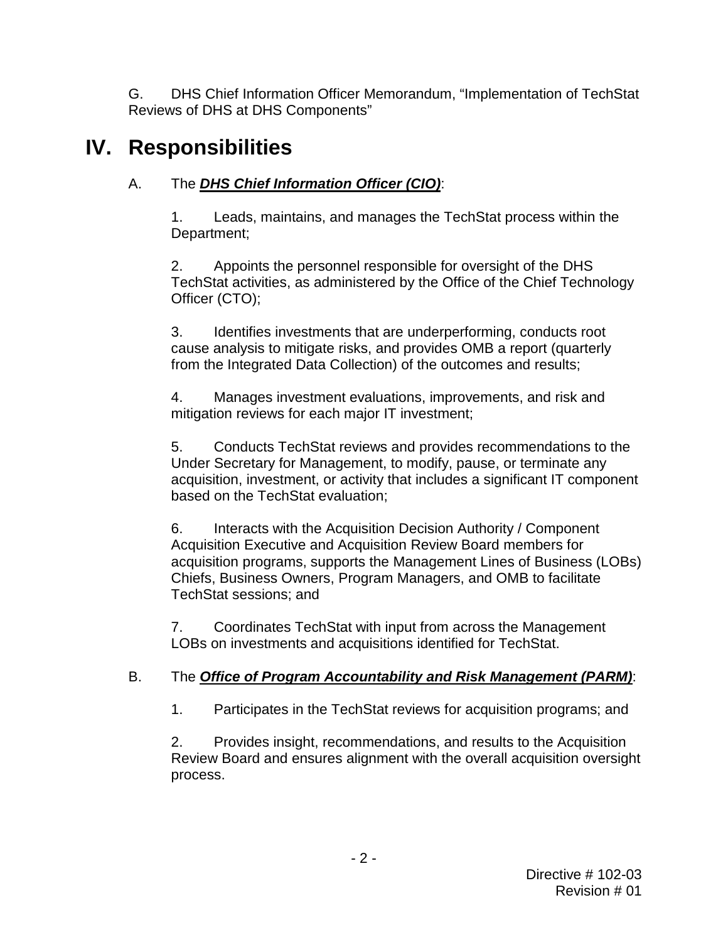G. DHS Chief Information Officer Memorandum, "Implementation of TechStat Reviews of DHS at DHS Components"

# **IV. Responsibilities**

### A. The *DHS Chief Information Officer (CIO)*:

1. Leads, maintains, and manages the TechStat process within the Department;

2. Appoints the personnel responsible for oversight of the DHS TechStat activities, as administered by the Office of the Chief Technology Officer (CTO);

3. Identifies investments that are underperforming, conducts root cause analysis to mitigate risks, and provides OMB a report (quarterly from the Integrated Data Collection) of the outcomes and results;

4. Manages investment evaluations, improvements, and risk and mitigation reviews for each major IT investment;

5. Conducts TechStat reviews and provides recommendations to the Under Secretary for Management, to modify, pause, or terminate any acquisition, investment, or activity that includes a significant IT component based on the TechStat evaluation;

6. Interacts with the Acquisition Decision Authority / Component Acquisition Executive and Acquisition Review Board members for acquisition programs, supports the Management Lines of Business (LOBs) Chiefs, Business Owners, Program Managers, and OMB to facilitate TechStat sessions; and

7. Coordinates TechStat with input from across the Management LOBs on investments and acquisitions identified for TechStat.

### B. The *Office of Program Accountability and Risk Management (PARM)*:

1. Participates in the TechStat reviews for acquisition programs; and

2. Provides insight, recommendations, and results to the Acquisition Review Board and ensures alignment with the overall acquisition oversight process.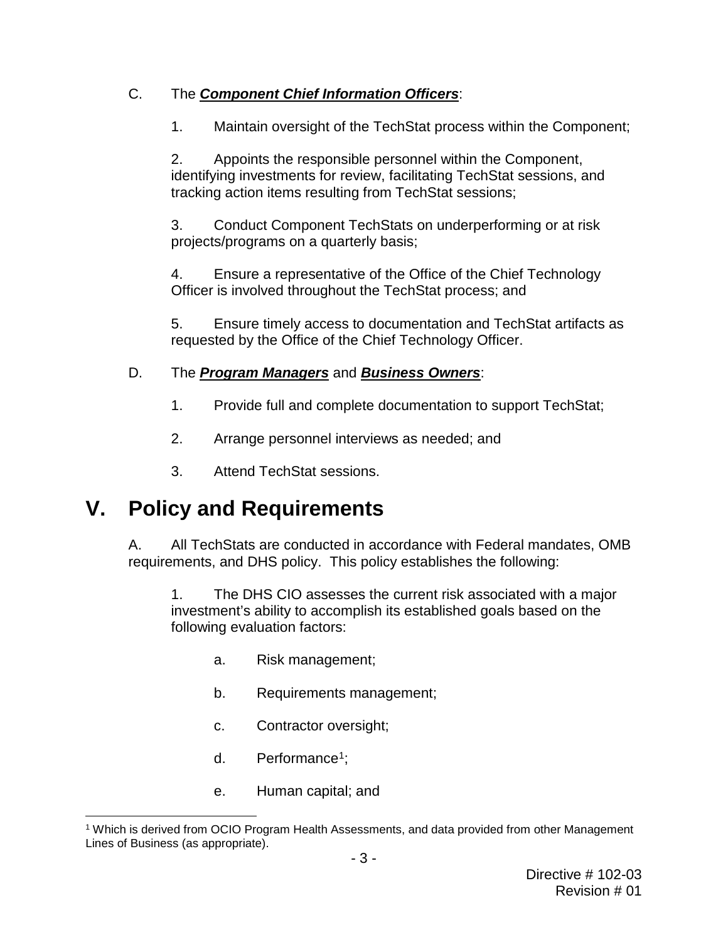### C. The *Component Chief Information Officers*:

1. Maintain oversight of the TechStat process within the Component;

2. Appoints the responsible personnel within the Component, identifying investments for review, facilitating TechStat sessions, and tracking action items resulting from TechStat sessions;

3. Conduct Component TechStats on underperforming or at risk projects/programs on a quarterly basis;

4. Ensure a representative of the Office of the Chief Technology Officer is involved throughout the TechStat process; and

5. Ensure timely access to documentation and TechStat artifacts as requested by the Office of the Chief Technology Officer.

### D. The *Program Managers* and *Business Owners*:

- 1. Provide full and complete documentation to support TechStat;
- 2. Arrange personnel interviews as needed; and
- 3. Attend TechStat sessions.

# **V. Policy and Requirements**

A. All TechStats are conducted in accordance with Federal mandates, OMB requirements, and DHS policy. This policy establishes the following:

1. The DHS CIO assesses the current risk associated with a major investment's ability to accomplish its established goals based on the following evaluation factors:

- a. Risk management;
- b. Requirements management;
- c. Contractor oversight;
- d. Performance<sup>1</sup>;
- e. Human capital; and

<span id="page-2-0"></span> <sup>1</sup> Which is derived from OCIO Program Health Assessments, and data provided from other Management Lines of Business (as appropriate).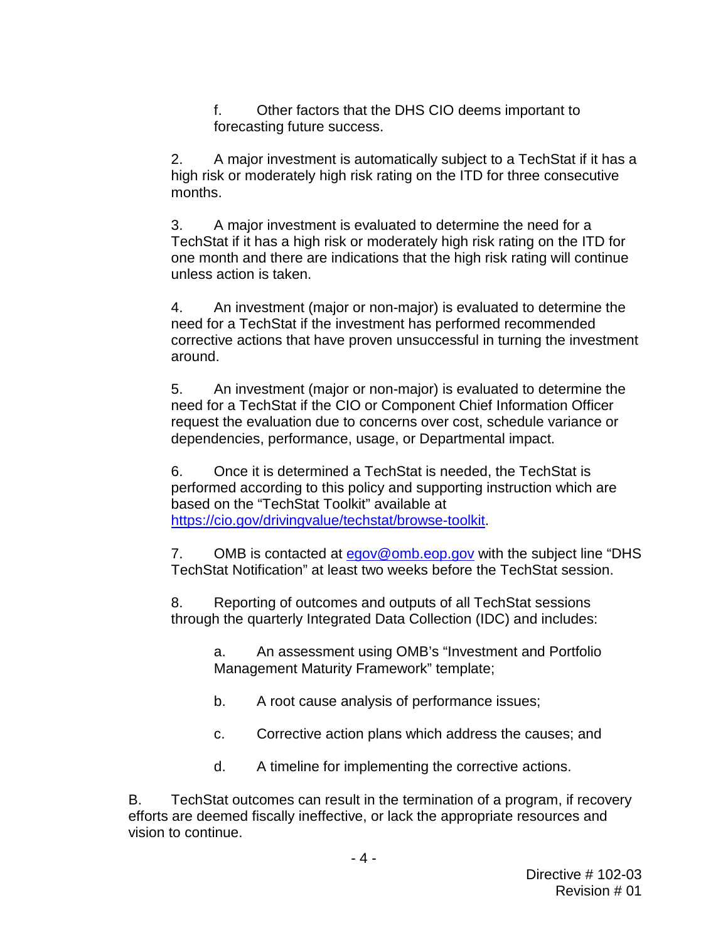f. Other factors that the DHS CIO deems important to forecasting future success.

2. A major investment is automatically subject to a TechStat if it has a high risk or moderately high risk rating on the ITD for three consecutive months.

3. A major investment is evaluated to determine the need for a TechStat if it has a high risk or moderately high risk rating on the ITD for one month and there are indications that the high risk rating will continue unless action is taken.

4. An investment (major or non-major) is evaluated to determine the need for a TechStat if the investment has performed recommended corrective actions that have proven unsuccessful in turning the investment around.

5. An investment (major or non-major) is evaluated to determine the need for a TechStat if the CIO or Component Chief Information Officer request the evaluation due to concerns over cost, schedule variance or dependencies, performance, usage, or Departmental impact.

6. Once it is determined a TechStat is needed, the TechStat is performed according to this policy and supporting instruction which are based on the "TechStat Toolkit" available at [https://cio.gov/drivingvalue/techstat/browse-toolkit.](https://cio.gov/drivingvalue/techstat/browse-toolkit)

7. OMB is contacted at [egov@omb.eop.gov](mailto:egov@omb.eop.gov) with the subject line "DHS TechStat Notification" at least two weeks before the TechStat session.

8. Reporting of outcomes and outputs of all TechStat sessions through the quarterly Integrated Data Collection (IDC) and includes:

a. An assessment using OMB's "Investment and Portfolio Management Maturity Framework" template;

- b. A root cause analysis of performance issues;
- c. Corrective action plans which address the causes; and
- d. A timeline for implementing the corrective actions.

B. TechStat outcomes can result in the termination of a program, if recovery efforts are deemed fiscally ineffective, or lack the appropriate resources and vision to continue.